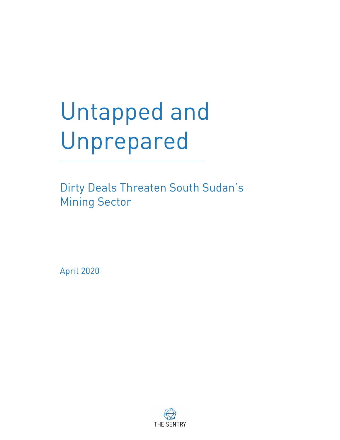# Untapped and Unprepared

Dirty Deals Threaten South Sudan's **Mining Sector** 

2020 April

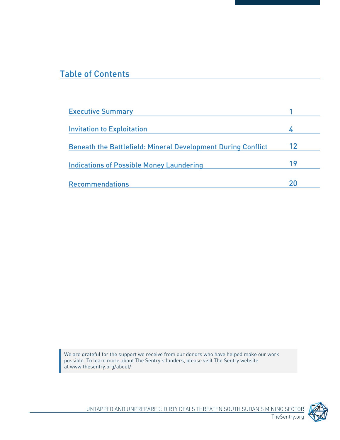## **Table of Contents**

| 12 |
|----|
| 19 |
|    |
|    |

We are grateful for the support we receive from our donors who have helped make our work possible. To learn more about The Sentry's funders, please visit The Sentry website at <u>www.thesentry.org[/](http://www.thesentry.org/about/)about/</u>.

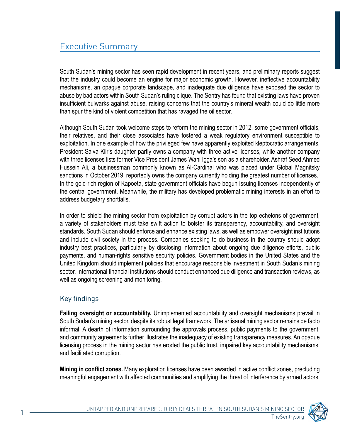South Sudan's mining sector has seen rapid development in recent years, and preliminary reports suggest that the industry could become an engine for major economic growth. However, ineffective accountability mechanisms, an opaque corporate landscape, and inadequate due diligence have exposed the sector to abuse by bad actors within South Sudan's ruling clique. The Sentry has found that existing laws have proven insufficient bulwarks against abuse, raising concerns that the country's mineral wealth could do little more than spur the kind of violent competition that has ravaged the oil sector.

Although South Sudan took welcome steps to reform the mining sector in 2012, some government officials, their relatives, and their close associates have fostered a weak regulatory environment susceptible to exploitation. In one example of how the privileged few have apparently exploited kleptocratic arrangements, President Salva Kiir's daughter partly owns a company with three active licenses, while another company with three licenses lists former Vice President James Wani Igga's son as a shareholder. Ashraf Seed Ahmed Hussein Ali, a businessman commonly known as Al-Cardinal who was placed under Global Magnitsky sanctions in October 2019, reportedly owns the company currently holding the greatest number of licenses.<sup>1</sup> In the gold-rich region of Kapoeta, state government officials have begun issuing licenses independently of the central government. Meanwhile, the military has developed problematic mining interests in an effort to address budgetary shortfalls.

In order to shield the mining sector from exploitation by corrupt actors in the top echelons of government, a variety of stakeholders must take swift action to bolster its transparency, accountability, and oversight standards. South Sudan should enforce and enhance existing laws, as well as empower oversight institutions and include civil society in the process. Companies seeking to do business in the country should adopt industry best practices, particularly by disclosing information about ongoing due diligence efforts, public payments, and human-rights sensitive security policies. Government bodies in the United States and the United Kingdom should implement policies that encourage responsible investment in South Sudan's mining sector. International financial institutions should conduct enhanced due diligence and transaction reviews, as well as ongoing screening and monitoring.

#### Key findings

**Failing oversight or accountability.** Unimplemented accountability and oversight mechanisms prevail in South Sudan's mining sector, despite its robust legal framework. The artisanal mining sector remains de facto informal. A dearth of information surrounding the approvals process, public payments to the government, and community agreements further illustrates the inadequacy of existing transparency measures. An opaque licensing process in the mining sector has eroded the public trust, impaired key accountability mechanisms, and facilitated corruption.

**Mining in conflict zones.** Many exploration licenses have been awarded in active conflict zones, precluding meaningful engagement with affected communities and amplifying the threat of interference by armed actors.

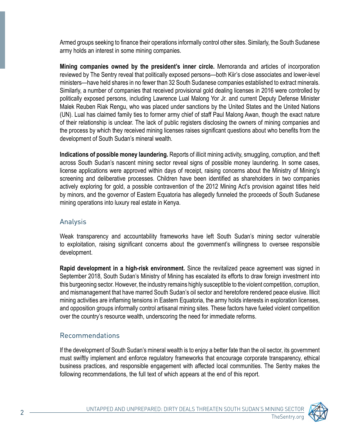Armed groups seeking to finance their operations informally control other sites. Similarly, the South Sudanese army holds an interest in some mining companies.

Mining companies owned by the president's inner circle. Memoranda and articles of incorporation reviewed by The Sentry reveal that politically exposed persons—both Kiir's close associates and lower-level ministers—have held shares in no fewer than 32 South Sudanese companies established to extract minerals. Similarly, a number of companies that received provisional gold dealing licenses in 2016 were controlled by politically exposed persons, including Lawrence Lual Malong Yor Jr. and current Deputy Defense Minister Malek Reuben Riak Rengu, who was placed under sanctions by the United States and the United Nations (UN). Lual has claimed family ties to former army chief of staff Paul Malong Awan, though the exact nature of their relationship is unclear. The lack of public registers disclosing the owners of mining companies and the process by which they received mining licenses raises significant questions about who benefits from the development of South Sudan's mineral wealth.

Indications of possible money laundering. Reports of illicit mining activity, smuggling, corruption, and theft across South Sudan's nascent mining sector reveal signs of possible money laundering. In some cases, license applications were approved within days of receipt, raising concerns about the Ministry of Mining's screening and deliberative processes. Children have been identified as shareholders in two companies actively exploring for gold, a possible contravention of the 2012 Mining Act's provision against titles held by minors, and the governor of Eastern Equatoria has allegedly funneled the proceeds of South Sudanese mining operations into luxury real estate in Kenya.

#### Analysis

Weak transparency and accountability frameworks have left South Sudan's mining sector vulnerable to exploitation, raising significant concerns about the government's willingness to oversee responsible development.

**Rapid development in a high-risk environment.** Since the revitalized peace agreement was signed in September 2018, South Sudan's Ministry of Mining has escalated its efforts to draw foreign investment into this burgeoning sector. However, the industry remains highly susceptible to the violent competition, corruption, and mismanagement that have marred South Sudan's oil sector and heretofore rendered peace elusive. Illicit mining activities are inflaming tensions in Eastern Equatoria, the army holds interests in exploration licenses, and opposition groups informally control artisanal mining sites. These factors have fueled violent competition over the country's resource wealth, underscoring the need for immediate reforms.

#### Recommendations

If the development of South Sudan's mineral wealth is to enjoy a better fate than the oil sector, its government must swiftly implement and enforce regulatory frameworks that encourage corporate transparency, ethical business practices, and responsible engagement with affected local communities. The Sentry makes the following recommendations, the full text of which appears at the end of this report.

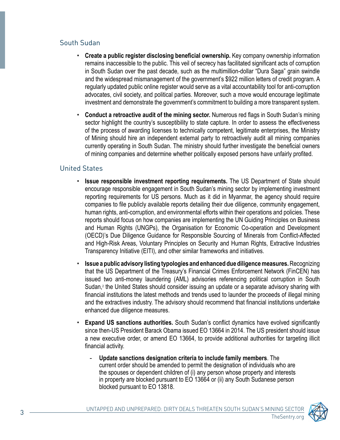#### South Sudan

- **Create a public register disclosing beneficial ownership.** Key company ownership information remains inaccessible to the public. This veil of secrecy has facilitated significant acts of corruption in South Sudan over the past decade, such as the multimillion-dollar "Dura Saga" grain swindle and the widespread mismanagement of the government's \$922 million letters of credit program. A regularly updated public online register would serve as a vital accountability tool for anti-corruption advocates, civil society, and political parties. Moreover, such a move would encourage legitimate investment and demonstrate the government's commitment to building a more transparent system.
- Conduct a retroactive audit of the mining sector. Numerous red flags in South Sudan's mining sector highlight the country's susceptibility to state capture. In order to assess the effectiveness of the process of awarding licenses to technically competent, legitimate enterprises, the Ministry of Mining should hire an independent external party to retroactively audit all mining companies currently operating in South Sudan. The ministry should further investigate the beneficial owners of mining companies and determine whether politically exposed persons have unfairly profited.

#### **United States**

- **Issue responsible investment reporting requirements.** The US Department of State should encourage responsible engagement in South Sudan's mining sector by implementing investment reporting requirements for US persons. Much as it did in Myanmar, the agency should require companies to file publicly available reports detailing their due diligence, community engagement, human rights, anti-corruption, and environmental efforts within their operations and policies. These reports should focus on how companies are implementing the UN Guiding Principles on Business and Human Rights (UNGPs), the Organisation for Economic Co-operation and Development (OECD)'s Due Diligence Guidance for Responsible Sourcing of Minerals from Conflict-Affected and High-Risk Areas, Voluntary Principles on Security and Human Rights, Extractive Industries Transparency Initiative (EITI), and other similar frameworks and initiatives.
- **Issue a public advisory listing typologies and enhanced due diligence measures.** Recognizing that the US Department of the Treasury's Financial Crimes Enforcement Network (FinCEN) has issued two anti-money laundering (AML) advisories referencing political corruption in South Sudan,<sup>2</sup> the United States should consider issuing an update or a separate advisory sharing with financial institutions the latest methods and trends used to launder the proceeds of illegal mining and the extractives industry. The advisory should recommend that financial institutions undertake enhanced due diligence measures.
- **Expand US sanctions authorities.** South Sudan's conflict dynamics have evolved significantly since then-US President Barack Obama issued EO 13664 in 2014. The US president should issue a new executive order, or amend EO 13664, to provide additional authorities for targeting illicit financial activity.
	- **Update sanctions designation criteria to include family members.** The current order should be amended to permit the designation of individuals who are the spouses or dependent children of (i) any person whose property and interests in property are blocked pursuant to EO 13664 or (ii) any South Sudanese person blocked pursuant to EO 13818.

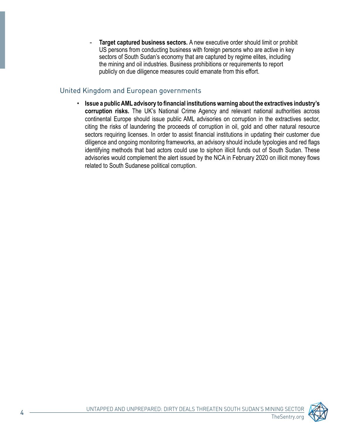Target captured business sectors. A new executive order should limit or prohibit US persons from conducting business with foreign persons who are active in key sectors of South Sudan's economy that are captured by regime elites, including the mining and oil industries. Business prohibitions or requirements to report publicly on due diligence measures could emanate from this effort.

#### United Kingdom and European governments

**• Issue a public AML advisory to financial institutions warning about the extractives industry's** corruption risks. The UK's National Crime Agency and relevant national authorities across continental Europe should issue public AML advisories on corruption in the extractives sector, citing the risks of laundering the proceeds of corruption in oil, gold and other natural resource sectors requiring licenses. In order to assist financial institutions in updating their customer due diligence and ongoing monitoring frameworks, an advisory should include typologies and red flags identifying methods that bad actors could use to siphon illicit funds out of South Sudan. These advisories would complement the alert issued by the NCA in February 2020 on illicit money flows related to South Sudanese political corruption.

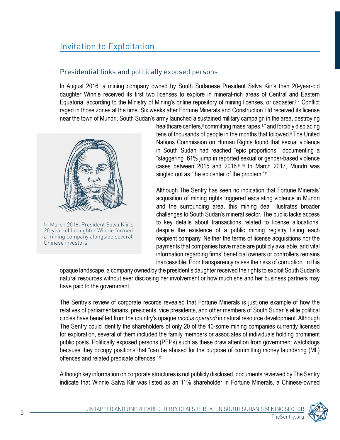## **Invitation to Exploitation**

#### Presidential links and politically exposed persons

In August 2016, a mining company owned by South Sudanese President Salva Kiir's then 20-year-old daughter Winnie received its first two licenses to explore in mineral-rich areas of Central and Eastern Equatoria, according to the Ministry of Mining's online repository of mining licenses, or cadaster.<sup>3,4</sup> Conflict raged in those zones at the time. Six weeks after Fortune Minerals and Construction Ltd received its license near the town of Mundri, South Sudan's army launched a sustained military campaign in the area, destroying



In March 2016, President Salva Kiir's 20-year-old daughter Winnie formed a mining company alongside several Chinese investors.

healthcare centers,<sup>5</sup> committing mass rapes,<sup>6,7</sup> and forcibly displacing tens of thousands of people in the months that followed.<sup>8</sup> The United Nations Commission on Human Rights found that sexual violence in South Sudan had reached "epic proportions," documenting a "staggering" 61% jump in reported sexual or gender-based violence cases between 2015 and 2016. $9, 10$  In March 2017, Mundri was singled out as "the epicenter of the problem."<sup>11</sup>

Although The Sentry has seen no indication that Fortune Minerals' acquisition of mining rights triggered escalating violence in Mundri and the surrounding area, this mining deal illustrates broader challenges to South Sudan's mineral sector. The public lacks access to key details about transactions related to license allocations, despite the existence of a public mining registry listing each recipient company. Neither the terms of license acquisitions nor the payments that companies have made are publicly available, and vital information regarding firms' beneficial owners or controllers remains in accessible. Poor transparency raises the risks of corruption. In this

opaque landscape, a company owned by the president's daughter received the rights to exploit South Sudan's natural resources without ever disclosing her involvement or how much she and her business partners may have paid to the government.

The Sentry's review of corporate records revealed that Fortune Minerals is just one example of how the relatives of parliamentarians, presidents, vice presidents, and other members of South Sudan's elite political circles have benefited from the country's opaque *modus operandi* in natural resource development. Although The Sentry could identify the shareholders of only 20 of the 40-some mining companies currently licensed for exploration, several of them included the family members or associates of individuals holding prominent public posts. Politically exposed persons (PEPs) such as these draw attention from government watchdogs because they occupy positions that "can be abused for the purpose of committing money laundering (ML) offences and related predicate offences."<sup>12</sup>

Although key information on corporate structures is not publicly disclosed, documents reviewed by The Sentry indicate that Winnie Salva Kiir was listed as an 11% shareholder in Fortune Minerals, a Chinese-owned

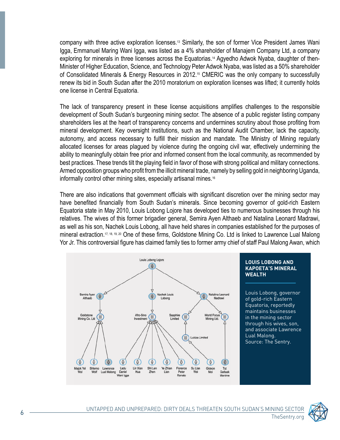company with three active exploration licenses.<sup>13</sup> Similarly, the son of former Vice President James Wani Igga, Emmanuel Maring Wani Igga, was listed as a 4% shareholder of Manajem Company Ltd, a company Minister of Higher Education, Science, and Technology Peter Adwok Nyaba, was listed as a 50% shareholder exploring for minerals in three licenses across the Equatorias.<sup>14</sup> Agyedho Adwok Nyaba, daughter of thenof Consolidated Minerals & Energy Resources in 2012.<sup>15</sup> CMERIC was the only company to successfully renew its bid in South Sudan after the 2010 moratorium on exploration licenses was lifted; it currently holds one license in Central Equatoria.

The lack of transparency present in these license acquisitions amplifies challenges to the responsible development of South Sudan's burgeoning mining sector. The absence of a public register listing company shareholders lies at the heart of transparency concerns and undermines scrutiny about those profiting from mineral development. Key oversight institutions, such as the National Audit Chamber, lack the capacity, autonomy, and access necessary to fulfill their mission and mandate. The Ministry of Mining regularly allocated licenses for areas plagued by violence during the ongoing civil war, effectively undermining the ability to meaningfully obtain free prior and informed consent from the local community, as recommended by best practices. These trends tilt the playing field in favor of those with strong political and military connections. Armed opposition groups who profit from the illicit mineral trade, namely by selling gold in neighboring Uganda, informally control other mining sites, especially artisanal mines.<sup>16</sup>

There are also indications that government officials with significant discretion over the mining sector may have benefited financially from South Sudan's minerals. Since becoming governor of gold-rich Eastern Equatoria state in May 2010, Louis Lobong Lojore has developed ties to numerous businesses through his relatives. The wives of this former brigadier general, Semira Ayen Althaeb and Natalina Leonard Madrawi, as well as his son, Nachek Louis Lobong, all have held shares in companies established for the purposes of mineral extraction.<sup>17, 18, 19, 20</sup> One of these firms, Goldstone Mining Co. Ltd is linked to Lawrence Lual Malong Yor Jr. This controversial figure has claimed family ties to former army chief of staff Paul Malong Awan, which



#### **LOUIS LOBONG AND KAPOETA'S MINERAL WEALTH**

Louis Lobong, governor of gold-rich Eastern Equatoria, reportedly maintains businesses in the mining sector through his wives, son, and associate Lawrence Lual Malong. Source: The Sentry.

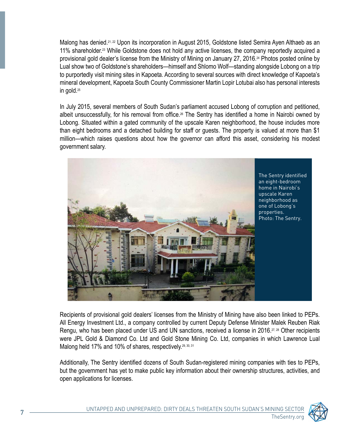Malong has denied.<sup>21, 22</sup> Upon its incorporation in August 2015, Goldstone listed Semira Ayen Althaeb as an 11% shareholder.<sup>23</sup> While Goldstone does not hold any active licenses, the company reportedly acquired a provisional gold dealer's license from the Ministry of Mining on January 27, 2016.<sup>24</sup> Photos posted online by Lual show two of Goldstone's shareholders—himself and Shlomo Wolf—standing alongside Lobong on a trip to purportedly visit mining sites in Kapoeta. According to several sources with direct knowledge of Kapoeta's mineral development, Kapoeta South County Commissioner Martin Lopir Lotubai also has personal interests in gold.<sup>25</sup>

In July 2015, several members of South Sudan's parliament accused Lobong of corruption and petitioned, albeit unsuccessfully, for his removal from office.<sup>26</sup> The Sentry has identified a home in Nairobi owned by Lobong. Situated within a gated community of the upscale Karen neighborhood, the house includes more than eight bedrooms and a detached building for staff or guests. The property is valued at more than \$1 million—which raises questions about how the governor can afford this asset, considering his modest government salary.



Recipients of provisional gold dealers' licenses from the Ministry of Mining have also been linked to PEPs. All Energy Investment Ltd., a company controlled by current Deputy Defense Minister Malek Reuben Riak Rengu, who has been placed under US and UN sanctions, received a license in 2016.<sup>27, 28</sup> Other recipients were JPL Gold & Diamond Co. Ltd and Gold Stone Mining Co. Ltd, companies in which Lawrence Lual Malong held 17% and 10% of shares, respectively.<sup>29, 30, 31</sup>

Additionally, The Sentry identified dozens of South Sudan-registered mining companies with ties to PEPs, but the government has yet to make public key information about their ownership structures, activities, and open applications for licenses.

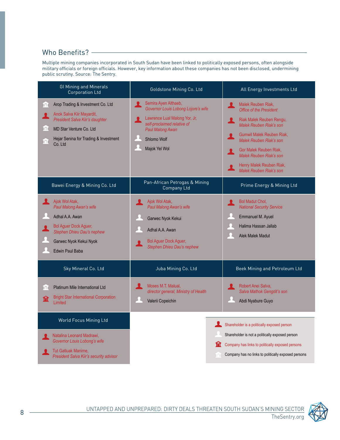#### Who Benefits?  $-$

Multiple mining companies incorporated in South Sudan have been linked to politically exposed persons, often alongside military officials or foreign officials. However, key information about these companies has not been disclosed, undermining public scrutiny. Source: The Sentry.

| <b>GI Mining and Minerals</b><br><b>Corporation Ltd</b>                                                                                                                                                    | Goldstone Mining Co. Ltd                                                                                                                                                             | All Energy Investments Ltd                                                                                                                                                                                                                                                            |
|------------------------------------------------------------------------------------------------------------------------------------------------------------------------------------------------------------|--------------------------------------------------------------------------------------------------------------------------------------------------------------------------------------|---------------------------------------------------------------------------------------------------------------------------------------------------------------------------------------------------------------------------------------------------------------------------------------|
| Arop Trading & Investment Co. Ltd<br>וחו<br>Anok Salva Kiir Mayardit,<br>President Salva Kiir's daughter<br>וחו<br><b>MD Star Venture Co. Ltd</b><br>Hejar Senina for Trading & Investment<br>m<br>Co. Ltd | Semira Ayen Althaeb,<br>х<br>Governor Louis Lobong Lojore's wife<br>Lawrence Lual Malong Yor, Jr,<br>self-proclaimed relative of<br>Paul Malong Awan<br>Shlomo Wolf<br>Majok Yel Wol | Malek Reuben Riak,<br>я.<br><b>Office of the President</b><br>Riak Malek Reuben Rengu,<br>Malek Reuben Riak's son<br>Gumwil Malek Reuben Riak,<br>Malek Reuben Riak's son<br>Gor Malek Reuben Riak,<br>Malek Reuben Riak's son<br>Henry Malek Reuben Riak,<br>Malek Reuben Riak's son |
| Bawei Energy & Mining Co. Ltd                                                                                                                                                                              | Pan-African Petrogas & Mining<br>Company Ltd                                                                                                                                         | Prime Energy & Mining Ltd                                                                                                                                                                                                                                                             |
| Ajok Wol Atak,<br>Paul Malong Awan's wife<br>Adhal A.A. Awan<br><b>Bol Aquer Dock Aquer,</b><br>Stephen Dhieu Dau's nephew<br>Garwec Nyok Kekui Nyok<br><b>Edwin Paul Baba</b>                             | Ajok Wol Atak,<br>Paul Malong Awan's wife<br>Garwec Nyok Kekui<br>Adhal A.A. Awan<br>Bol Aguer Dock Aguer,<br>Stephen Dhieu Dau's nephew                                             | <b>Bol Madut Chol,</b><br><b>National Security Service</b><br><b>Emmanuel M. Ayuel</b><br>Halima Hassan Jallab<br>Alek Malek Madut                                                                                                                                                    |
| Sky Mineral Co. Ltd                                                                                                                                                                                        | Juba Mining Co. Ltd                                                                                                                                                                  | Beek Mining and Petroleum Ltd                                                                                                                                                                                                                                                         |
| Platinum Mile International Ltd<br>וחו<br><b>Bright Star International Corporation</b><br>宜<br>I imited                                                                                                    | Moses M.T. Malual,<br>director general, Ministry of Health<br>Valerii Copeichin                                                                                                      | Robert Anei Salva,<br>Salva Mathok Gengdit's son<br>Abdi Nyabure Guyo                                                                                                                                                                                                                 |
| World Focus Mining Ltd                                                                                                                                                                                     |                                                                                                                                                                                      | Shareholder is a politically exposed person                                                                                                                                                                                                                                           |
| Natalina Leonard Madrawi,<br>Governor Louis Lobong's wife<br>Tut Gatluak Manime,<br>President Salva Kiir's security advisor                                                                                | ١n                                                                                                                                                                                   | Shareholder is not a politically exposed person<br>Company has links to politically exposed persons<br>Company has no links to politically exposed persons                                                                                                                            |

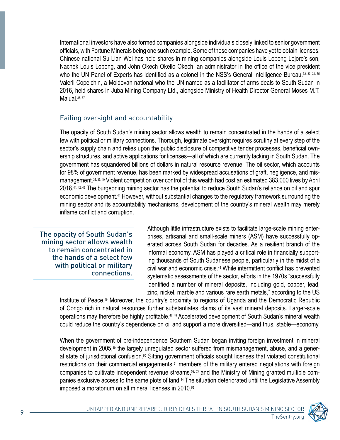International investors have also formed companies alongside individuals closely linked to senior government officials, with Fortune Minerals being one such example. Some of these companies have yet to obtain licenses. Chinese national Su Lian Wei has held shares in mining companies alongside Louis Lobong Lojore's son, Nachek Louis Lobong, and John Okech Okello Okech, an administrator in the office of the vice president who the UN Panel of Experts has identified as a colonel in the NSS's General Intelligence Bureau. 32, 33, 34, 35 Valerii Copeichin, a Moldovan national who the UN named as a facilitator of arms deals to South Sudan in 2016, held shares in Juba Mining Company Ltd., alongside Ministry of Health Director General Moses M.T. Malual. 36, 37

#### Failing oversight and accountability

The opacity of South Sudan's mining sector allows wealth to remain concentrated in the hands of a select few with political or military connections. Thorough, legitimate oversight requires scrutiny at every step of the ership structures, and active applications for licenses—all of which are currently lacking in South Sudan. The sector's supply chain and relies upon the public disclosure of competitive tender processes, beneficial owngovernment has squandered billions of dollars in natural resource revenue. The oil sector, which accounts management. 38, 39, 40 Violent competition over control of this wealth had cost an estimated 383,000 lives by April for 98% of government revenue, has been marked by widespread accusations of graft, negligence, and mis-2018.<sup>41, 42, 43</sup> The burgeoning mining sector has the potential to reduce South Sudan's reliance on oil and spur economic development.<sup>44</sup> However, without substantial changes to the regulatory framework surrounding the mining sector and its accountability mechanisms, development of the country's mineral wealth may merely inflame conflict and corruption.

The opacity of South Sudan's mining sector allows wealth to remain concentrated in the hands of a select few with political or military .connections

prises, artisanal and small-scale miners (ASM) have successfully operated across South Sudan for decades. As a resilient branch of the Although little infrastructure exists to facilitate large-scale mining enter-<br>prises, artisanal and small-scale miners (ASM) have successfully oping thousands of South Sudanese people, particularly in the midst of a informal economy, ASM has played a critical role in financially supportcivil war and economic crisis.<sup>45</sup> While intermittent conflict has prevented systematic assessments of the sector, efforts in the 1970s "successfully identified a number of mineral deposits, including gold, copper, lead, zinc, nickel, marble and various rare earth metals," according to the US

Institute of Peace.<sup>46</sup> Moreover, the country's proximity to regions of Uganda and the Democratic Republic of Congo rich in natural resources further substantiates claims of its vast mineral deposits. Larger-scale operations may therefore be highly profitable.<sup>47,48</sup> Accelerated development of South Sudan's mineral wealth could reduce the country's dependence on oil and support a more diversified—and thus, stable—economy.

When the government of pre-independence Southern Sudan began inviting foreign investment in mineral al state of jurisdictional confusion.<sup>50</sup> Sitting government officials sought licenses that violated constitutional development in 2005,<sup>49</sup> the largely unregulated sector suffered from mismanagement, abuse, and a generrestrictions on their commercial engagements,<sup>51</sup> members of the military entered negotiations with foreign panies exclusive access to the same plots of land.<sup>54</sup> The situation deteriorated until the Legislative Assembly companies to cultivate independent revenue streams,<sup>52, 53</sup> and the Ministry of Mining granted multiple comimposed a moratorium on all mineral licenses in 2010.<sup>55</sup>

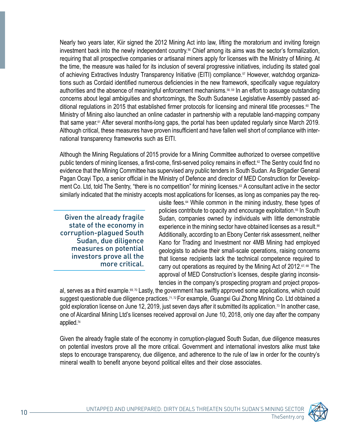Nearly two years later, Kiir signed the 2012 Mining Act into law, lifting the moratorium and inviting foreign investment back into the newly independent country.<sup>56</sup> Chief among its aims was the sector's formalization, requiring that all prospective companies or artisanal miners apply for licenses with the Ministry of Mining. At the time, the measure was hailed for its inclusion of several progressive initiatives, including its stated goal tions such as Cordaid identified numerous deficiencies in the new framework, specifically vague regulatory of achieving Extractives Industry Transparency Initiative (EITI) compliance.<sup>57</sup> However, watchdog organizaauthorities and the absence of meaningful enforcement mechanisms.<sup>58,59</sup> In an effort to assuage outstanding ditional regulations in 2015 that established firmer protocols for licensing and mineral title processes.<sup>®</sup> The concerns about legal ambiguities and shortcomings, the South Sudanese Legislative Assembly passed ad-Ministry of Mining also launched an online cadaster in partnership with a reputable land-mapping company that same year.<sup>61</sup> After several months-long gaps, the portal has been updated regularly since March 2019. Although critical, these measures have proven insufficient and have fallen well short of compliance with inter-<br>national transparency frameworks such as EITI.

Although the Mining Regulations of 2015 provide for a Mining Committee authorized to oversee competitive public tenders of mining licenses, a first-come, first-served policy remains in effect.<sup>62</sup> The Sentry could find no evidence that the Mining Committee has supervised any public tenders in South Sudan. As Brigadier General ment Co. Ltd, told The Sentry, "there is no competition" for mining licenses.<sup>63</sup> A consultant active in the sector Pagan Ocayi Tipo, a senior official in the Ministry of Defence and director of MED Construction for Developsimilarly indicated that the ministry accepts most applications for licenses, as long as companies pay the req-

Given the already fragile state of the economy in corruption-plagued South Sudan, due diligence measures on potential investors prove all the more critical.

uisite fees.<sup> $64$ </sup> While common in the mining industry, these types of policies contribute to opacity and encourage exploitation.<sup>65</sup> In South Sudan, companies owned by individuals with little demonstrable experience in the mining sector have obtained licenses as a result.<sup>66</sup> Additionally, according to an Ebony Center risk assessment, neither Kano for Trading and Investment nor 4MB Mining had employed geologists to advise their small-scale operations, raising concerns that license recipients lack the technical competence required to carry out operations as required by the Mining Act of 2012.67, 68 The tencies in the company's prospecting program and project proposapproval of MED Construction's licenses, despite glaring inconsis-

al, serves as a third example.<sup>69, 70</sup> Lastly, the government has swiftly approved some applications, which could suggest questionable due diligence practices.<sup>71,72</sup> For example, Guangxi Gui Zhong Mining Co. Ltd obtained a gold exploration license on June 12, 2019, just seven days after it submitted its application.<sup>73</sup> In another case, one of Alcardinal Mining Ltd's licenses received approval on June 10, 2018, only one day after the company applied.<sup>74</sup>

Given the already fragile state of the economy in corruption-plagued South Sudan, due diligence measures on potential investors prove all the more critical. Government and international investors alike must take steps to encourage transparency, due diligence, and adherence to the rule of law in order for the country's mineral wealth to benefit anyone beyond political elites and their close associates.

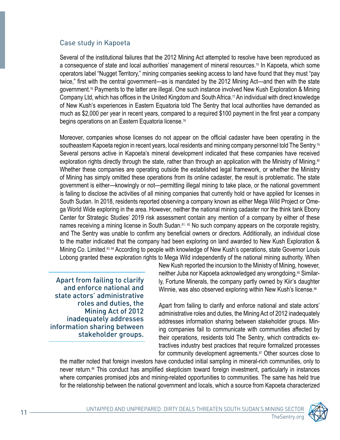#### Case study in Kapoeta

Several of the institutional failures that the 2012 Mining Act attempted to resolve have been reproduced as a consequence of state and local authorities' management of mineral resources.<sup>75</sup> In Kapoeta, which some operators label "Nugget Territory," mining companies seeking access to land have found that they must "pay twice," first with the central government—as is mandated by the 2012 Mining Act—and then with the state government.<sup>76</sup> Payments to the latter are illegal. One such instance involved New Kush Exploration & Mining Company Ltd, which has offices in the United Kingdom and South Africa.<sup>77</sup> An individual with direct knowledge of New Kush's experiences in Eastern Equatoria told The Sentry that local authorities have demanded as much as \$2,000 per year in recent years, compared to a required \$100 payment in the first year a company begins operations on an Eastern Equatoria license.<sup>78</sup>

Moreover, companies whose licenses do not appear on the official cadaster have been operating in the southeastern Kapoeta region in recent years, local residents and mining company personnel told The Sentry.<sup>79</sup> Several persons active in Kapoeta's mineral development indicated that these companies have received exploration rights directly through the state, rather than through an application with the Ministry of Mining.<sup>30</sup> Whether these companies are operating outside the established legal framework, or whether the Ministry of Mining has simply omitted these operations from its online cadaster, the result is problematic. The state government is either—knowingly or not—permitting illegal mining to take place, or the national government is failing to disclose the activities of all mining companies that currently hold or have applied for licenses in South Sudan. In 2018, residents reported observing a company known as either Mega Wild Project or Ome-<br>ga World Wide exploring in the area. However, neither the national mining cadaster nor the think tank Ebony Center for Strategic Studies' 2019 risk assessment contain any mention of a company by either of these names receiving a mining license in South Sudan.<sup>81, 82</sup> No such company appears on the corporate registry, and The Sentry was unable to confirm any beneficial owners or directors. Additionally, an individual close to the matter indicated that the company had been exploring on land awarded to New Kush Exploration & Mining Co. Limited.<sup>83, 84</sup> According to people with knowledge of New Kush's operations, state Governor Louis Lobong granted these exploration rights to Mega Wild independently of the national mining authority. When

Apart from failing to clarify and enforce national and state actors' administrative roles and duties, the Mining Act of 2012 inadequately addresses information sharing between stakeholder groups.

New Kush reported the incursion to the Ministry of Mining, however, ly, Fortune Minerals, the company partly owned by Kiir's daughter neither Juba nor Kapoeta acknowledged any wrongdoing.<sup>85</sup> Similar-Winnie, was also observed exploring within New Kush's license.<sup>86</sup>

Apart from failing to clarify and enforce national and state actors' administrative roles and duties, the Mining Act of 2012 inadequately ing companies fail to communicate with communities affected by addresses information sharing between stakeholder groups. Mintractives industry best practices that require formalized processes their operations, residents told The Sentry, which contradicts exfor community development agreements.<sup>87</sup> Other sources close to

the matter noted that foreign investors have conducted initial sampling in mineral-rich communities, only to never return.<sup>88</sup> This conduct has amplified skepticism toward foreign investment, particularly in instances where companies promised jobs and mining-related opportunities to communities. The same has held true for the relationship between the national government and locals, which a source from Kapoeta characterized

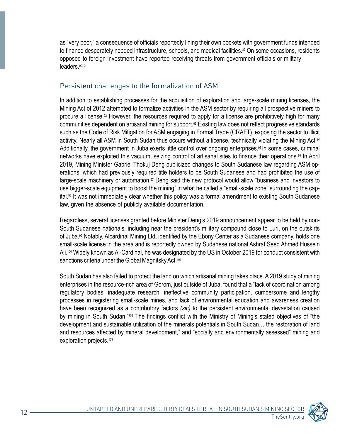as "very poor," a consequence of officials reportedly lining their own pockets with government funds intended to finance desperately needed infrastructure, schools, and medical facilities.<sup>89</sup> On some occasions, residents opposed to foreign investment have reported receiving threats from government officials or military leaders.<sup>90, 91</sup>

#### Persistent challenges to the formalization of ASM

In addition to establishing processes for the acquisition of exploration and large-scale mining licenses, the Mining Act of 2012 attempted to formalize activities in the ASM sector by requiring all prospective miners to procure a license.<sup>92</sup> However, the resources required to apply for a license are prohibitively high for many communities dependent on artisanal mining for support.<sup>93</sup> Existing law does not reflect progressive standards such as the Code of Risk Mitigation for ASM engaging in Formal Trade (CRAFT), exposing the sector to illicit activity. Nearly all ASM in South Sudan thus occurs without a license, technically violating the Mining Act.<sup>94</sup> Additionally, the government in Juba exerts little control over ongoing enterprises.<sup>95</sup> In some cases, criminal networks have exploited this vacuum, seizing control of artisanal sites to finance their operations.<sup>96</sup> In April 2019, Mining Minister Gabriel Thokuj Deng publicized changes to South Sudanese law regarding ASM op-<br>erations, which had previously required title holders to be South Sudanese and had prohibited the use of large-scale machinery or automation.<sup>97</sup> Deng said the new protocol would allow "business and investors to ital.<sup>98</sup> It was not immediately clear whether this policy was a formal amendment to existing South Sudanese use bigger-scale equipment to boost the mining" in what he called a "small-scale zone" surrounding the caplaw, given the absence of publicly available documentation.

South Sudanese nationals, including near the president's military compound close to Luri, on the outskirts Regardless, several licenses granted before Minister Deng's 2019 announcement appear to be held by nonof Juba.<sup>99</sup> Notably, Alcardinal Mining Ltd, identified by the Ebony Center as a Sudanese company, holds one small-scale license in the area and is reportedly owned by Sudanese national Ashraf Seed Ahmed Hussein Ali.<sup>100</sup> Widely known as Al-Cardinal, he was designated by the US in October 2019 for conduct consistent with sanctions criteria under the Global Magnitsky Act.<sup>101</sup>

South Sudan has also failed to protect the land on which artisanal mining takes place. A 2019 study of mining enterprises in the resource-rich area of Gorom, just outside of Juba, found that a "lack of coordination among regulatory bodies, inadequate research, ineffective community participation, cumbersome and lengthy processes in registering small-scale mines, and lack of environmental education and awareness creation have been recognized as a contributory factors (sic) to the persistent environmental devastation caused by mining in South Sudan."<sup>102</sup> The findings conflict with the Ministry of Mining's stated objectives of "the development and sustainable utilization of the minerals potentials in South Sudan... the restoration of land and resources affected by mineral development," and "socially and environmentally assessed" mining and exploration projects.<sup>103</sup>

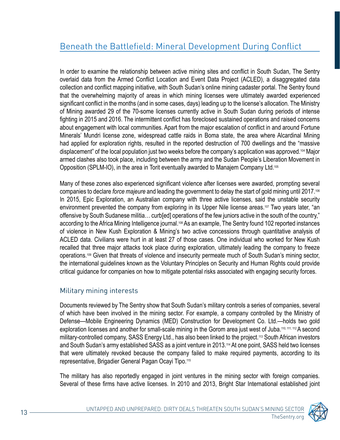In order to examine the relationship between active mining sites and conflict in South Sudan, The Sentry overlaid data from the Armed Conflict Location and Event Data Project (ACLED), a disaggregated data collection and conflict mapping initiative, with South Sudan's online mining cadaster portal. The Sentry found that the overwhelming majority of areas in which mining licenses were ultimately awarded experienced significant conflict in the months (and in some cases, days) leading up to the license's allocation. The Ministry of Mining awarded 29 of the 70-some licenses currently active in South Sudan during periods of intense fighting in 2015 and 2016. The intermittent conflict has foreclosed sustained operations and raised concerns about engagement with local communities. Apart from the major escalation of conflict in and around Fortune Minerals' Mundri license zone, widespread cattle raids in Boma state, the area where Alcardinal Mining had applied for exploration rights, resulted in the reported destruction of 700 dwellings and the "massive displacement" of the local population just two weeks before the company's application was approved.<sup>104</sup> Major armed clashes also took place, including between the army and the Sudan People's Liberation Movement in Opposition (SPLM-IO), in the area in Torit eventually awarded to Manajem Company Ltd.<sup>105</sup>

Many of these zones also experienced significant violence after licenses were awarded, prompting several companies to declare *force majeure* and leading the government to delay the start of gold mining until 2017.<sup>106</sup> In 2015, Epic Exploration, an Australian company with three active licenses, said the unstable security environment prevented the company from exploring in its Upper Nile license areas.<sup>107</sup> Two years later, "an offensive by South Sudanese militia... curb[ed] operations of the few juniors active in the south of the country," according to the Africa Mining Intelligence journal 108 As an example, The Sentry found 102 reported instances of violence in New Kush Exploration & Mining's two active concessions through quantitative analysis of ACLED data. Civilians were hurt in at least 27 of those cases. One individual who worked for New Kush recalled that three major attacks took place during exploration, ultimately leading the company to freeze operations.<sup>109</sup> Given that threats of violence and insecurity permeate much of South Sudan's mining sector, the international guidelines known as the Voluntary Principles on Security and Human Rights could provide critical guidance for companies on how to mitigate potential risks associated with engaging security forces.

#### Military mining interests

Documents reviewed by The Sentry show that South Sudan's military controls a series of companies, several of which have been involved in the mining sector. For example, a company controlled by the Ministry of Defense—Mobile Engineering Dynamics (MED) Construction for Development Co. Ltd.—holds two gold exploration licenses and another for small-scale mining in the Gorom area just west of Juba.<sup>110, 111, 112</sup> A second military-controlled company, SASS Energy Ltd., has also been linked to the project.<sup>113</sup> South African investors and South Sudan's army established SASS as a joint venture in 2013.<sup>114</sup> At one point, SASS held two licenses that were ultimately revoked because the company failed to make required payments, according to its representative, Brigadier General Pagan Ocayi Tipo.<sup>115</sup>

The military has also reportedly engaged in joint ventures in the mining sector with foreign companies. Several of these firms have active licenses. In 2010 and 2013, Bright Star International established joint

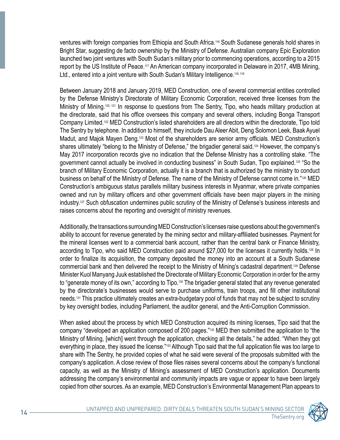ventures with foreign companies from Ethiopia and South Africa.<sup>116</sup> South Sudanese generals hold shares in Bright Star, suggesting de facto ownership by the Ministry of Defense. Australian company Epic Exploration launched two joint ventures with South Sudan's military prior to commencing operations, according to a 2015 report by the US Institute of Peace.<sup>117</sup> An American company incorporated in Delaware in 2017, 4MB Mining, Ltd., entered into a joint venture with South Sudan's Military Intelligence.<sup>118, 119</sup>

Between January 2018 and January 2019, MED Construction, one of several commercial entities controlled by the Defense Ministry's Directorate of Military Economic Corporation, received three licenses from the Ministry of Mining.<sup>120, 121</sup> In response to questions from The Sentry, Tipo, who heads military production at the directorate, said that his office oversees this company and several others, including Bonga Transport Company Limited.<sup>122</sup> MED Construction's listed shareholders are all directors within the directorate. Tipo told The Sentry by telephone. In addition to himself, they include Dau Aleer Abit, Deng Solomon Leek, Baak Ayuel Madut, and Majok Mayen Deng.<sup>123</sup> Most of the shareholders are senior army officials. MED Construction's shares ultimately "belong to the Ministry of Defense," the brigadier general said.<sup>124</sup> However, the company's May 2017 incorporation records give no indication that the Defense Ministry has a controlling stake. "The government cannot actually be involved in conducting business" in South Sudan, Tipo explained 125 "So the branch of Military Economic Corporation, actually it is a branch that is authorized by the ministry to conduct business on behalf of the Ministry of Defense. The name of the Ministry of Defense cannot come in."126 MED Construction's ambiguous status parallels military business interests in Myanmar, where private companies owned and run by military officers and other government officials have been major players in the mining industry.<sup>127</sup> Such obfuscation undermines public scrutiny of the Ministry of Defense's business interests and raises concerns about the reporting and oversight of ministry revenues.

Additionally, the transactions surrounding MED Construction's licenses raise questions about the government's ability to account for revenue generated by the mining sector and military-affiliated businesses. Payment for the mineral licenses went to a commercial bank account, rather than the central bank or Finance Ministry, according to Tipo, who said MED Construction paid around \$27,000 for the licenses it currently holds.<sup>128</sup> In order to finalize its acquisition, the company deposited the money into an account at a South Sudanese commercial bank and then delivered the receipt to the Ministry of Mining's cadastral department.<sup>129</sup> Defense Minister Kuol Manyang Juuk established the Directorate of Military Economic Corporation in order for the army to "generate money of its own," according to Tipo.<sup>130</sup> The brigadier general stated that any revenue generated by the directorate's businesses would serve to purchase uniforms, train troops, and fill other institutional needs.<sup>131</sup> This practice ultimately creates an extra-budgetary pool of funds that may not be subject to scrutiny by key oversight bodies, including Parliament, the auditor general, and the Anti-Corruption Commission.

When asked about the process by which MED Construction acquired its mining licenses, Tipo said that the company "developed an application composed of 200 pages."<sup>132</sup> MED then submitted the application to "the Ministry of Mining, [which] went through the application, checking all the details," he added. "When they got everything in place, they issued the license."<sup>133</sup> Although Tipo said that the full application file was too large to share with The Sentry, he provided copies of what he said were several of the proposals submitted with the company's application. A close review of those files raises several concerns about the company's functional capacity, as well as the Ministry of Mining's assessment of MED Construction's application. Documents addressing the company's environmental and community impacts are vague or appear to have been largely copied from other sources. As an example, MED Construction's Environmental Management Plan appears to

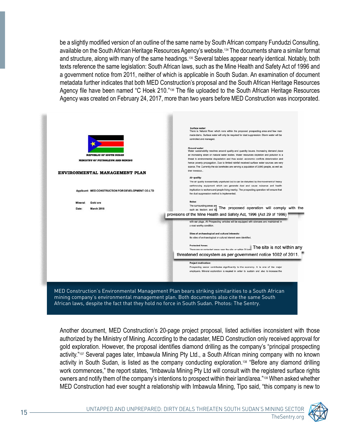be a slightly modified version of an outline of the same name by South African company Fundudzi Consulting, available on the South African Heritage Resources Agency's website.<sup>134</sup> The documents share a similar format and structure, along with many of the same headings.<sup>135</sup> Several tables appear nearly identical. Notably, both texts reference the same legislation: South African laws, such as the Mine Health and Safety Act of 1996 and a government notice from 2011, neither of which is applicable in South Sudan. An examination of document metadata further indicates that both MED Construction's proposal and the South African Heritage Resources Agency file have been named "C Hoek 210."<sup>136</sup> The file uploaded to the South African Heritage Resources Agency was created on February 24, 2017, more than two years before MED Construction was incorporated.

| Surface water:<br>There is Natural River which runs within the proposed prospecting area and few man<br>made dams. Surface water will only be required for dust suppression. Storm water will be<br>controlled and managed.                                                                                                             |
|-----------------------------------------------------------------------------------------------------------------------------------------------------------------------------------------------------------------------------------------------------------------------------------------------------------------------------------------|
| Ground water:<br>Water sustainability resolves around quality and quantity issues. Increasing demand place<br>an increasing strain on natural water bodies. Water resources depletion and pollution is a<br>threat to environmental degradation and thus social -economic conflicts deterioration and                                   |
| hence poverty propagation. Due to limited rainfall received surface water sources are very<br>scarce. The Currently the six boreholes are serving a population of 3,600 people, as well as                                                                                                                                              |
| their livestock                                                                                                                                                                                                                                                                                                                         |
|                                                                                                                                                                                                                                                                                                                                         |
| Air quality:<br>The air quality is essentially unpolluted but is can be disturbed by the movement of heavy<br>earthmoving equipment which can generate dust and cause nuisance and health<br>implication to workers and people living nearby. The prospecting operation will ensure that<br>the dust suppression method is implemented. |
|                                                                                                                                                                                                                                                                                                                                         |
| Noise:                                                                                                                                                                                                                                                                                                                                  |
| The surrounding areas are<br>such as tractors and the The proposed operation will comply with the                                                                                                                                                                                                                                       |
| provisions of the Mine Health and Safety Act, 1996 (Act 29 of 1996)                                                                                                                                                                                                                                                                     |
| with ear plugs. All Prospecting vehicles will be equipped with silencers and maintained in<br>a road worthy condition.<br>Sites of archaeological and cultural interests:<br>No sites of archaeological or cultural interest were identified.                                                                                           |
|                                                                                                                                                                                                                                                                                                                                         |
| The site is not within any methods are the site or within 20 km. The site is not within any                                                                                                                                                                                                                                             |
| threatened ecosystem as per government notice 1002 of 2011.                                                                                                                                                                                                                                                                             |
|                                                                                                                                                                                                                                                                                                                                         |
| Project motivation:<br>Prospecting sector contributes significantly to the economy. It is one of the major<br>employers. Mineral exploration is required in order to sustain and also to increase the                                                                                                                                   |
|                                                                                                                                                                                                                                                                                                                                         |

Another document, MED Construction's 20-page project proposal, listed activities inconsistent with those authorized by the Ministry of Mining. According to the cadaster, MED Construction only received approval for gold exploration. However, the proposal identifies diamond drilling as the company's "principal prospecting activity."137 Several pages later, Imbawula Mining Pty Ltd., a South African mining company with no known activity in South Sudan, is listed as the company conducting exploration.<sup>138</sup> "Before any diamond drilling work commences," the report states, "Imbawula Mining Pty Ltd will consult with the registered surface rights owners and notify them of the company's intentions to prospect within their land/area."<sup>139</sup> When asked whether MED Construction had ever sought a relationship with Imbawula Mining, Tipo said, "this company is new to

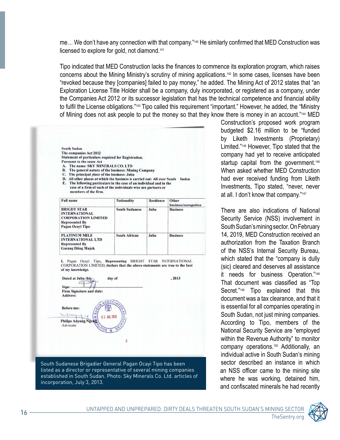me... We don't have any connection with that company."<sup>140</sup> He similarly confirmed that MED Construction was licensed to explore for gold, not diamond.<sup>141</sup>

Tipo indicated that MED Construction lacks the finances to commence its exploration program, which raises concerns about the Mining Ministry's scrutiny of mining applications.<sup>142</sup> In some cases, licenses have been "revoked because they [companies] failed to pay money," he added. The Mining Act of 2012 states that "an Exploration License Title Holder shall be a company, duly incorporated, or registered as a company, under the Companies Act 2012 or its successor legislation that has the technical competence and financial ability to fulfil the License obligations."<sup>143</sup> Tipo called this requirement "important." However, he added, the "Ministry of Mining does not ask people to put the money so that they know there is money in an account."<sup>144</sup> MED

| South Sudan                                                                                                                                                                    |                       |                  |                     |
|--------------------------------------------------------------------------------------------------------------------------------------------------------------------------------|-----------------------|------------------|---------------------|
| The companies Act 2012                                                                                                                                                         |                       |                  |                     |
| Statement of particulars required for Registration.                                                                                                                            |                       |                  |                     |
| <b>Pursuant to the same Act</b>                                                                                                                                                |                       |                  |                     |
| The name: SKY MINERALS CO. LTD<br>$\Lambda$ .                                                                                                                                  |                       |                  |                     |
| The general nature of the business: Mining Company<br>В.                                                                                                                       |                       |                  |                     |
| The principal place of the business: Juba<br>C.                                                                                                                                |                       |                  |                     |
| All other places at which the business is carried out: All over South Sudan<br>D.                                                                                              |                       |                  |                     |
| E.                                                                                                                                                                             |                       |                  |                     |
| The following particulars in the case of an individual and in the<br>case of a firm of each of the individuals who are partners or<br>members of the firm.<br><b>Full name</b> | <b>Nationality</b>    | <b>Residence</b> | Other               |
|                                                                                                                                                                                |                       |                  | business/occupation |
| <b>BRIGHT STAR</b><br><b>INTERNATIONAL</b><br><b>CORPORATION LIMITED</b><br><b>Represented By</b><br>Pagan Ocayi Tipo                                                          | <b>South Sudanese</b> | Juba             | <b>Business</b>     |

I, Pagan Ocayi Tipo, Representing BRIGHT STAR INTERNATIONAL CORPORATION LIMITED, declare that the above statements are true to the best of my knowledge.

**Garang Diing Majok** 



listed as a director or representative of several mining companies established in South Sudan. Photo: Sky Minerals Co. Ltd. articles of incorporation, July 3, 2013.

Construction's proposed work program budgeted \$2.16 million to be "funded by Liketh Investments (Proprietary) Limited."<sup>145</sup> However, Tipo stated that the company had yet to receive anticipated startup capital from the government.<sup>146</sup> When asked whether MED Construction had ever received funding from Liketh Investments, Tipo stated, "never, never at all. I don't know that company."<sup>147</sup>

There are also indications of National Security Service (NSS) involvement in South Sudan's mining sector. On February 14, 2019. MED Construction received an authorization from the Taxation Branch of the NSS's Internal Security Bureau. which stated that the "company is dully (sic) cleared and deserves all assistance it needs for business Operation."<sup>148</sup> That document was classified as "Top" Secret."<sup>149</sup> Tipo explained that this document was a tax clearance, and that it is essential for all companies operating in South Sudan, not just mining companies. According to Tipo, members of the National Security Service are "employed within the Revenue Authority" to monitor company operations.<sup>150</sup> Additionally, an individual active in South Sudan's mining sector described an instance in which an NSS officer came to the mining site where he was working, detained him, and confiscated minerals he had recently



TheSentry.org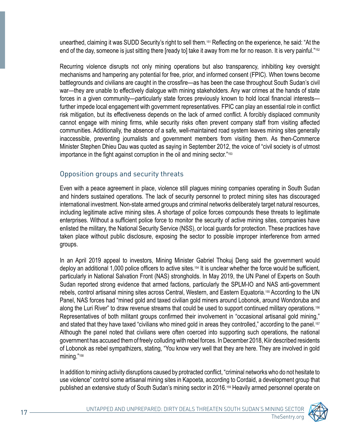unearthed, claiming it was SUDD Security's right to sell them.<sup>151</sup> Reflecting on the experience, he said: "At the end of the day, someone is just sitting there [ready to] take it away from me for no reason. It is very painful."<sup>152</sup>

Recurring violence disrupts not only mining operations but also transparency, inhibiting key oversight mechanisms and hampering any potential for free, prior, and informed consent (FPIC). When towns become battlegrounds and civilians are caught in the crossfire—as has been the case throughout South Sudan's civil war—they are unable to effectively dialogue with mining stakeholders. Any war crimes at the hands of state forces in a given community—particularly state forces previously known to hold local financial interests further impede local engagement with government representatives. FPIC can play an essential role in conflict risk mitigation, but its effectiveness depends on the lack of armed conflict. A forcibly displaced community cannot engage with mining firms, while security risks often prevent company staff from visiting affected communities. Additionally, the absence of a safe, well-maintained road system leaves mining sites generally inaccessible, preventing journalists and government members from visiting them. As then-Commerce Minister Stephen Dhieu Dau was quoted as saying in September 2012, the voice of "civil society is of utmost importance in the fight against corruption in the oil and mining sector."<sup>153</sup>

#### Opposition groups and security threats

Even with a peace agreement in place, violence still plagues mining companies operating in South Sudan and hinders sustained operations. The lack of security personnel to protect mining sites has discouraged international investment. Non-state armed groups and criminal networks deliberately target natural resources, including legitimate active mining sites. A shortage of police forces compounds these threats to legitimate enterprises. Without a sufficient police force to monitor the security of active mining sites, companies have enlisted the military, the National Security Service (NSS), or local guards for protection. These practices have taken place without public disclosure, exposing the sector to possible improper interference from armed groups.

In an April 2019 appeal to investors, Mining Minister Gabriel Thokuj Deng said the government would deploy an additional 1,000 police officers to active sites  $154$  It is unclear whether the force would be sufficient, particularly in National Salvation Front (NAS) strongholds. In May 2019, the UN Panel of Experts on South Sudan reported strong evidence that armed factions, particularly the SPLM-IO and NAS anti-government rebels, control artisanal mining sites across Central, Western, and Eastern Equatoria.<sup>155</sup> According to the UN Panel, NAS forces had "mined gold and taxed civilian gold miners around Lobonok, around Wondoruba and along the Luri River" to draw revenue streams that could be used to support continued military operations.<sup>156</sup> Representatives of both militant groups confirmed their involvement in "occasional artisanal gold mining," and stated that they have taxed "civilians who mined gold in areas they controlled," according to the panel.<sup>157</sup> Although the panel noted that civilians were often coerced into supporting such operations, the national government has accused them of freely colluding with rebel forces. In December 2018, Kiir described residents of Lobonok as rebel sympathizers, stating, "You know very well that they are here. They are involved in gold mining."<sup>158</sup>

In addition to mining activity disruptions caused by protracted conflict, "criminal networks who do not hesitate to use violence" control some artisanal mining sites in Kapoeta, according to Cordaid, a development group that published an extensive study of South Sudan's mining sector in 2016.<sup>159</sup> Heavily armed personnel operate on

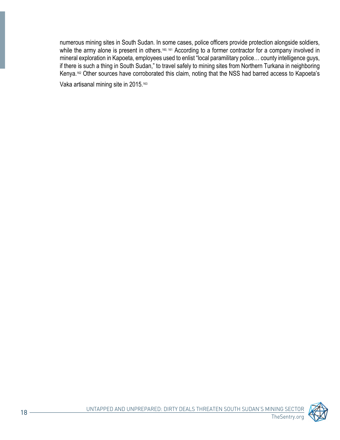numerous mining sites in South Sudan. In some cases, police officers provide protection alongside soldiers, while the army alone is present in others.<sup>160, 161</sup> According to a former contractor for a company involved in mineral exploration in Kapoeta, employees used to enlist "local paramilitary police... county intelligence guys, if there is such a thing in South Sudan," to travel safely to mining sites from Northern Turkana in neighboring Kenya.<sup>162</sup> Other sources have corroborated this claim, noting that the NSS had barred access to Kapoeta's

Vaka artisanal mining site in 2015.<sup>163</sup>

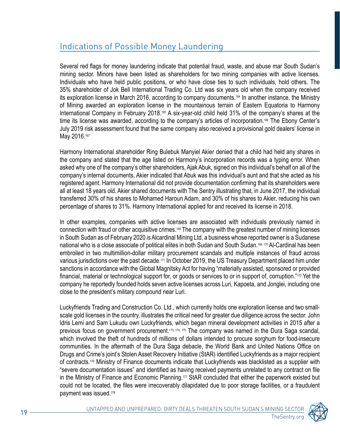## Indications of Possible Money Laundering

Several red flags for money laundering indicate that potential fraud, waste, and abuse mar South Sudan's mining sector. Minors have been listed as shareholders for two mining companies with active licenses. Individuals who have held public positions, or who have close ties to such individuals, hold others. The 35% shareholder of Jok Bell International Trading Co. Ltd was six years old when the company received its exploration license in March 2016, according to company documents.<sup>164</sup> In another instance, the Ministry of Mining awarded an exploration license in the mountainous terrain of Eastern Equatoria to Harmony International Company in February 2018.<sup>165</sup> A six-year-old child held 31% of the company's shares at the time its license was awarded, according to the company's articles of incorporation.<sup>166</sup> The Ebony Center's July 2019 risk assessment found that the same company also received a provisional gold dealers' license in May 2016.167

Harmony International shareholder Ring Bulebuk Manyiel Akier denied that a child had held any shares in the company and stated that the age listed on Harmony's incorporation records was a typing error. When asked why one of the company's other shareholders, Ajak Abuk, signed on this individual's behalf on all of the company's internal documents, Akier indicated that Abuk was this individual's aunt and that she acted as his registered agent. Harmony International did not provide documentation confirming that its shareholders were all at least 18 years old. Akier shared documents with The Sentry illustrating that, in June 2017, the individual transferred 30% of his shares to Mohamed Haroun Adam, and 30% of his shares to Akier, reducing his own percentage of shares to 31%. Harmony International applied for and received its license in 2018.

In other examples, companies with active licenses are associated with individuals previously named in connection with fraud or other acquisitive crimes.<sup>168</sup> The company with the greatest number of mining licenses in South Sudan as of February 2020 is Alcardinal Mining Ltd, a business whose reported owner is a Sudanese national who is a close associate of political elites in both Sudan and South Sudan.<sup>169,170</sup> Al-Cardinal has been embroiled in two multimillion-dollar military procurement scandals and multiple instances of fraud across various jurisdictions over the past decade.<sup>171</sup> In October 2019, the US Treasury Department placed him under sanctions in accordance with the Global Magnitsky Act for having "materially assisted, sponsored or provided financial, material or technological support for, or goods or services to or in support of, corruption."<sup>172</sup> Yet the company he reportedly founded holds seven active licenses across Luri, Kapoeta, and Jonglei, including one close to the president's military compound near Luri.

scale gold licenses in the country, illustrates the critical need for greater due diligence across the sector. John Luckyfriends Trading and Construction Co. Ltd., which currently holds one exploration license and two small-Idris Lemi and Sam Lukudu own Luckyfriends, which began mineral development activities in 2015 after a previous focus on government procurement.<sup>173, 174, 175</sup> The company was named in the Dura Saga scandal, which involved the theft of hundreds of millions of dollars intended to procure sorghum for food-insecure communities. In the aftermath of the Dura Saga debacle, the World Bank and United Nations Office on Drugs and Crime's joint's Stolen Asset Recovery Initiative (StAR) identified Luckyfriends as a major recipient of contracts.<sup>176</sup> Ministry of Finance documents indicate that Luckyfriends was blacklisted as a supplier with "severe documentation issues" and identified as having received payments unrelated to any contract on file in the Ministry of Finance and Economic Planning.<sup>177</sup> StAR concluded that either the paperwork existed but could not be located, the files were irrecoverably dilapidated due to poor storage facilities, or a fraudulent payment was issued.<sup>178</sup>

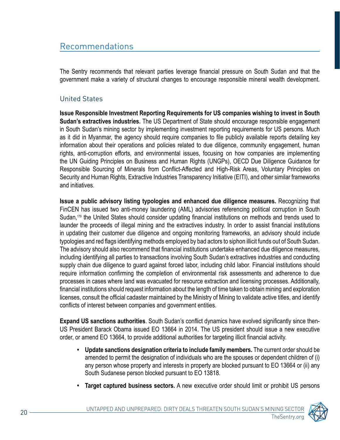## Recommendations

The Sentry recommends that relevant parties leverage financial pressure on South Sudan and that the government make a variety of structural changes to encourage responsible mineral wealth development.

### **United States**

**Issue Responsible Investment Reporting Requirements for US companies wishing to invest in South Sudan's extractives industries.** The US Department of State should encourage responsible engagement in South Sudan's mining sector by implementing investment reporting requirements for US persons. Much as it did in Myanmar, the agency should require companies to file publicly available reports detailing key information about their operations and policies related to due diligence, community engagement, human rights, anti-corruption efforts, and environmental issues, focusing on how companies are implementing the UN Guiding Principles on Business and Human Rights (UNGPs), OECD Due Diligence Guidance for Responsible Sourcing of Minerals from Conflict-Affected and High-Risk Areas, Voluntary Principles on Security and Human Rights, Extractive Industries Transparency Initiative (EITI), and other similar frameworks and initiatives

**Issue a public advisory listing typologies and enhanced due diligence measures.** Recognizing that FinCEN has issued two anti-money laundering (AML) advisories referencing political corruption in South Sudan,<sup>179</sup> the United States should consider updating financial institutions on methods and trends used to launder the proceeds of illegal mining and the extractives industry. In order to assist financial institutions in updating their customer due diligence and ongoing monitoring frameworks, an advisory should include typologies and red flags identifying methods employed by bad actors to siphon illicit funds out of South Sudan. The advisory should also recommend that financial institutions undertake enhanced due diligence measures, including identifying all parties to transactions involving South Sudan's extractives industries and conducting supply chain due diligence to guard against forced labor, including child labor. Financial institutions should require information confirming the completion of environmental risk assessments and adherence to due processes in cases where land was evacuated for resource extraction and licensing processes. Additionally, financial institutions should request information about the length of time taken to obtain mining and exploration licenses, consult the official cadaster maintained by the Ministry of Mining to validate active titles, and identify conflicts of interest between companies and government entities.

US President Barack Obama issued EO 13664 in 2014. The US president should issue a new executive **Expand US sanctions authorities**. South Sudan's conflict dynamics have evolved significantly since thenorder, or amend EO 13664, to provide additional authorities for targeting illicit financial activity.

- **Update sanctions designation criteria to include family members.** The current order should be amended to permit the designation of individuals who are the spouses or dependent children of (i) any person whose property and interests in property are blocked pursuant to EO 13664 or (ii) any South Sudanese person blocked pursuant to EO 13818.
- **Target captured business sectors.** A new executive order should limit or prohibit US persons

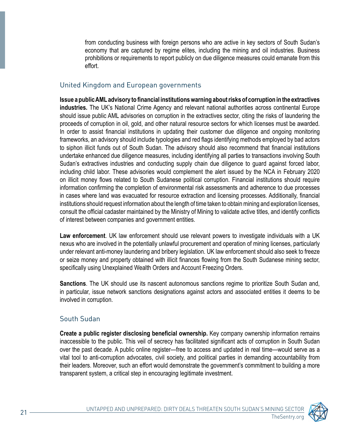from conducting business with foreign persons who are active in key sectors of South Sudan's economy that are captured by regime elites, including the mining and oil industries. Business prohibitions or requirements to report publicly on due diligence measures could emanate from this .effort

#### United Kingdom and European governments

 **Issue a public AML advisory to financial institutions warning about risks of corruption in the extractives industries.** The UK's National Crime Agency and relevant national authorities across continental Europe should issue public AML advisories on corruption in the extractives sector, citing the risks of laundering the proceeds of corruption in oil, gold, and other natural resource sectors for which licenses must be awarded. In order to assist financial institutions in updating their customer due diligence and ongoing monitoring frameworks, an advisory should include typologies and red flags identifying methods employed by bad actors to siphon illicit funds out of South Sudan. The advisory should also recommend that financial institutions undertake enhanced due diligence measures, including identifying all parties to transactions involving South Sudan's extractives industries and conducting supply chain due diligence to guard against forced labor, including child labor. These advisories would complement the alert issued by the NCA in February 2020 on illicit money flows related to South Sudanese political corruption. Financial institutions should require information confirming the completion of environmental risk assessments and adherence to due processes in cases where land was evacuated for resource extraction and licensing processes. Additionally, financial institutions should request information about the length of time taken to obtain mining and exploration licenses, consult the official cadaster maintained by the Ministry of Mining to validate active titles, and identify conflicts of interest between companies and government entities.

Law enforcement. UK law enforcement should use relevant powers to investigate individuals with a UK nexus who are involved in the potentially unlawful procurement and operation of mining licenses, particularly under relevant anti-money laundering and bribery legislation. UK law enforcement should also seek to freeze or seize money and property obtained with illicit finances flowing from the South Sudanese mining sector, specifically using Unexplained Wealth Orders and Account Freezing Orders.

**Sanctions**. The UK should use its nascent autonomous sanctions regime to prioritize South Sudan and, in particular, issue network sanctions designations against actors and associated entities it deems to be involved in corruption.

#### South Sudan

**Create a public register disclosing beneficial ownership.** Key company ownership information remains inaccessible to the public. This veil of secrecy has facilitated significant acts of corruption in South Sudan over the past decade. A public online register—free to access and updated in real time—would serve as a vital tool to anti-corruption advocates, civil society, and political parties in demanding accountability from their leaders. Moreover, such an effort would demonstrate the government's commitment to building a more transparent system, a critical step in encouraging legitimate investment.

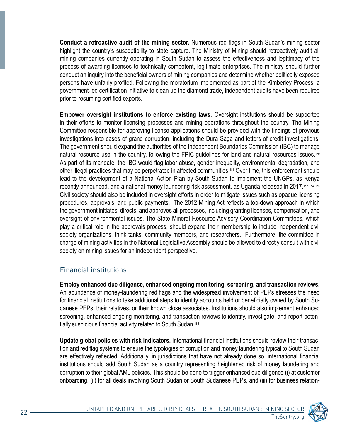**Conduct a retroactive audit of the mining sector.** Numerous red flags in South Sudan's mining sector highlight the country's susceptibility to state capture. The Ministry of Mining should retroactively audit all mining companies currently operating in South Sudan to assess the effectiveness and legitimacy of the process of awarding licenses to technically competent, legitimate enterprises. The ministry should further conduct an inquiry into the beneficial owners of mining companies and determine whether politically exposed persons have unfairly profited. Following the moratorium implemented as part of the Kimberley Process, a government-led certification initiative to clean up the diamond trade, independent audits have been required prior to resuming certified exports.

**Empower oversight institutions to enforce existing laws.** Oversight institutions should be supported in their efforts to monitor licensing processes and mining operations throughout the country. The Mining Committee responsible for approving license applications should be provided with the findings of previous investigations into cases of grand corruption, including the Dura Saga and letters of credit investigations. The government should expand the authorities of the Independent Boundaries Commission (IBC) to manage natural resource use in the country, following the FPIC guidelines for land and natural resources issues.<sup>180</sup> As part of its mandate, the IBC would flag labor abuse, gender inequality, environmental degradation, and other illegal practices that may be perpetrated in affected communities.<sup>181</sup> Over time, this enforcement should lead to the development of a National Action Plan by South Sudan to implement the UNGPs, as Kenya recently announced, and a national money laundering risk assessment, as Uganda released in 2017.<sup>182, 183, 184</sup> Civil society should also be included in oversight efforts in order to mitigate issues such as opaque licensing procedures, approvals, and public payments. The 2012 Mining Act reflects a top-down approach in which the government initiates, directs, and approves all processes, including granting licenses, compensation, and oversight of environmental issues. The State Mineral Resource Advisory Coordination Committees, which play a critical role in the approvals process, should expand their membership to include independent civil society organizations, think tanks, community members, and researchers. Furthermore, the committee in charge of mining activities in the National Legislative Assembly should be allowed to directly consult with civil society on mining issues for an independent perspective.

#### **Financial institutions**

**Employ enhanced due diligence, enhanced ongoing monitoring, screening, and transaction reviews.** An abundance of money-laundering red flags and the widespread involvement of PEPs stresses the need danese PEPs, their relatives, or their known close associates. Institutions should also implement enhanced for financial institutions to take additional steps to identify accounts held or beneficially owned by South Suscreening, enhanced ongoing monitoring, and transaction reviews to identify, investigate, and report poten-<br>tially suspicious financial activity related to South Sudan.ª<sup>s</sup>

tion and red flag systems to ensure the typologies of corruption and money laundering typical to South Sudan Update global policies with risk indicators. International financial institutions should review their transacare effectively reflected. Additionally, in jurisdictions that have not already done so, international financial institutions should add South Sudan as a country representing heightened risk of money laundering and corruption to their global AML policies. This should be done to trigger enhanced due diligence (i) at customer onboarding, (ii) for all deals involving South Sudan or South Sudanese PEPs, and (iii) for business relation-

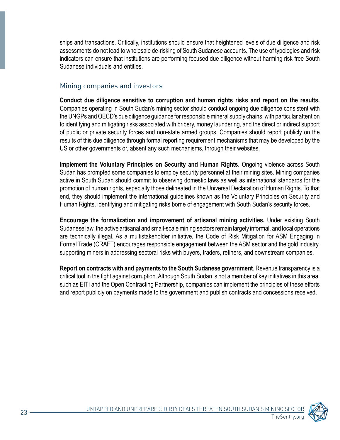ships and transactions. Critically, institutions should ensure that heightened levels of due diligence and risk assessments do not lead to wholesale de-risking of South Sudanese accounts. The use of typologies and risk indicators can ensure that institutions are performing focused due diligence without harming risk-free South Sudanese individuals and entities.

#### Mining companies and investors

Conduct due diligence sensitive to corruption and human rights risks and report on the results. Companies operating in South Sudan's mining sector should conduct ongoing due diligence consistent with the UNGPs and OECD's due diligence guidance for responsible mineral supply chains, with particular attention to identifying and mitigating risks associated with bribery, money laundering, and the direct or indirect support of public or private security forces and non-state armed groups. Companies should report publicly on the results of this due diligence through formal reporting requirement mechanisms that may be developed by the US or other governments or, absent any such mechanisms, through their websites.

Implement the Voluntary Principles on Security and Human Rights. Ongoing violence across South Sudan has prompted some companies to employ security personnel at their mining sites. Mining companies active in South Sudan should commit to observing domestic laws as well as international standards for the promotion of human rights, especially those delineated in the Universal Declaration of Human Rights. To that end, they should implement the international guidelines known as the Voluntary Principles on Security and Human Rights, identifying and mitigating risks borne of engagement with South Sudan's security forces.

**Encourage the formalization and improvement of artisanal mining activities.** Under existing South Sudanese law, the active artisanal and small-scale mining sectors remain largely informal, and local operations are technically illegal. As a multistakeholder initiative, the Code of Risk Mitigation for ASM Engaging in Formal Trade (CRAFT) encourages responsible engagement between the ASM sector and the gold industry, supporting miners in addressing sectoral risks with buyers, traders, refiners, and downstream companies.

Report on contracts with and payments to the South Sudanese government. Revenue transparency is a critical tool in the fight against corruption. Although South Sudan is not a member of key initiatives in this area, such as EITI and the Open Contracting Partnership, companies can implement the principles of these efforts and report publicly on payments made to the government and publish contracts and concessions received.

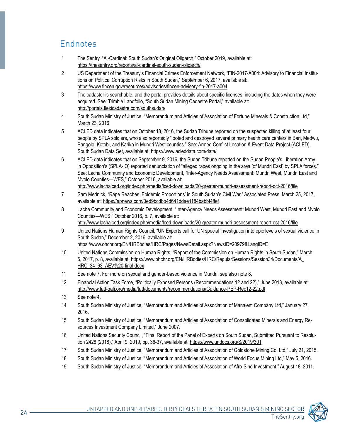## **Endnotes**

- 1 The Sentry, "Al-Cardinal: South Sudan's Original Oligarch," October 2019, available at: https://thesentry.org/reports/al-cardinal-south-sudan-oligarch/
- US Department of the Treasury's Financial Crimes Enforcement Network, "FIN-2017-A004: Advisory to Financial Institu-<br>tions on Political Corruption Risks in South Sudan," September 6, 2017, available at: https://www.fincen.gov/resources/advisories/fincen-advisory-fin-2017-a004
- 3 The cadaster is searchable, and the portal provides details about specific licenses, including the dates when they were acquired. See: Trimble Landfolio, "South Sudan Mining Cadastre Portal," available at: http://portals.flexicadastre.com/southsudan/
- 4 South Sudan Ministry of Justice, "Memorandum and Articles of Association of Fortune Minerals & Construction Ltd," March 23, 2016.
- 5 ACLED data indicates that on October 18, 2016, the Sudan Tribune reported on the suspected killing of at least four people by SPLA soldiers, who also reportedly "looted and destroyed several primary health care centers in Bari, Medwu, Bangolo, Kotobi, and Karika in Mundri West counties." See: Armed Conflict Location & Event Data Project (ACLED), South Sudan Data Set, available at: https://www.acleddata.com/data/
- 6 ACLED data indicates that on September 9, 2016, the Sudan Tribune reported on the Sudan People's Liberation Army in Opposition's (SPLA-IO) reported denunciation of "alleged rapes ongoing in the area [of Mundri East] by SPLA forces." See: Lacha Community and Economic Development, "Inter-Agency Needs Assessment: Mundri West, Mundri East and Mvolo Counties—WES," October 2016, available at:
	- http://www.lachalced.org/index.php/media/lced-downloads/20-greater-mundri-assessment-report-oct-2016/file
- 7 Sam Mednick, "Rape Reaches 'Epidemic Proportions' in South Sudan's Civil War," Associated Press, March 25, 2017, available at: https://apnews.com/0ed9bcdbb4d641ddae1184babbf4ffef
- 8 Lacha Community and Economic Development, "Inter-Agency Needs Assessment: Mundri West, Mundri East and Mvolo Counties-WES," October 2016, p. 7, available at: http://www.lachalced.org/index.php/media/lced-downloads/20-greater-mundri-assessment-report-oct-2016/file
- 9 United Nations Human Rights Council, "UN Experts call for UN special investigation into epic levels of sexual violence in South Sudan," December 2, 2016, available at: https://www.ohchr.org/EN/HRBodies/HRC/Pages/NewsDetail.aspx?NewsID=20979&LangID=E
- 10 United Nations Commission on Human Rights, "Report of the Commission on Human Rights in South Sudan," March 6, 2017, p. 8, available at: https://www.ohchr.org/EN/HRBodies/HRC/RegularSessions/Session34/Documents/A HRC 34 63 AEV%20-final.docx
- 11 See note 7. For more on sexual and gender-based violence in Mundri, see also note 8.
- 12 Financial Action Task Force, "Politically Exposed Persons (Recommendations 12 and 22)," June 2013, available at: http://www.fatf-gafi.org/media/fatf/documents/recommendations/Guidance-PEP-Rec12-22.pdf
- 13 See note 4.
- 14 South Sudan Ministry of Justice, "Memorandum and Articles of Association of Manajem Company Ltd," January 27, 2016.
- 15 South Sudan Ministry of Justice, "Memorandum and Articles of Association of Consolidated Minerals and Energy Re-<br>sources Investment Company Limited," June 2007.
- tion 2428 (2018)," April 9, 2019, pp. 36-37, available at: https://www.undocs.org/S/2019/301 16 United Nations Security Council, "Final Report of the Panel of Experts on South Sudan, Submitted Pursuant to Resolu-
- 17 South Sudan Ministry of Justice, "Memorandum and Articles of Association of Goldstone Mining Co. Ltd," July 21, 2015.
- 18 South Sudan Ministry of Justice, "Memorandum and Articles of Association of World Focus Mining Ltd," May 5, 2016.
- 19 South Sudan Ministry of Justice, "Memorandum and Articles of Association of Afro-Sino Investment," August 18, 2011.

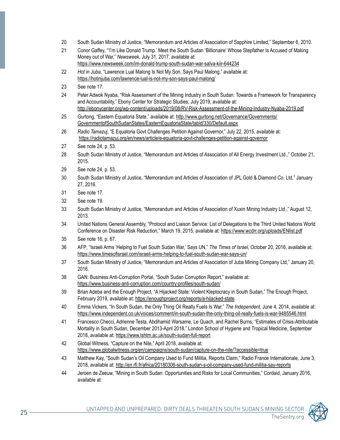- 20 South Sudan Ministry of Justice, "Memorandum and Articles of Association of Sapphire Limited," September 6, 2010.
- 21 Conor Gaffey. "'I'm Like Donald Trump.' Meet the South Sudan 'Billionaire' Whose Stepfather Is Accused of Making Money out of War," Newsweek, July 31, 2017, available at: https://www.newsweek.com/im-donald-trump-south-sudan-war-salva-kiir-644234
- 22 Hot in Juba, "Lawrence Lual Malong Is Not My Son. Savs Paul Malong." available at: https://hotinjuba.com/lawrence-lual-is-not-my-son-says-paul-malong/
- 23 See note 17.
- 24 Peter Adwok Nyaba, "Risk Assessment of the Mining Industry in South Sudan: Towards a Framework for Transparency and Accountability," Ebony Center for Strategic Studies, July 2019, available at: http://ebonycenter.org/wp-content/uploads/2019/08/RV-Risk-Assessment-of-the-Mining-Industry-Nyaba-2019.pdf
- 25 Gurtong, "Eastern Equatoria State," available at: http://www.gurtong.net/Governance/Governments/ GovernmentofSouthSudanStates/EasternEquatoriaState/tabid/330/Default.aspx
- 26 Radio Tamazui, "E Equatoria Govt Challenges Petition Against Governor," July 22, 2015, available at: https://radiotamazuj.org/en/news/article/e-equatoria-govt-challenges-petition-against-governor
- 27 See note 24, p. 53.
- 28 South Sudan Ministry of Justice, "Memorandum and Articles of Association of All Energy Investment Ltd.," October 21, 2015.
- 29 See note 24, p. 53.
- 30 South Sudan Ministry of Justice, "Memorandum and Articles of Association of JPL Gold & Diamond Co. Ltd." January 2016.
- 31 See note 17.
- 32 See note 19.
- 33 South Sudan Ministry of Justice, "Memorandum and Articles of Association of Xuxin Mining Industry Ltd.," August 12, 2013.
- 34 United Nations General Assembly, "Protocol and Liaison Service: List of Delegations to the Third United Nations World Conference on Disaster Risk Reduction," March 19, 2015, available at: https://www.wcdrr.org/uploads/ENlist.pdf
- 35 See note 16, p. 67.
- 36 AFP, "Israeli Arms 'Helping to Fuel South Sudan War,' Says UN," The Times of Israel, October 20, 2016, available at: https://www.timesofisrael.com/israeli-arms-helping-to-fuel-south-sudan-war-says-un/
- 37 South Sudan Ministry of Justice, "Memorandum and Articles of Association of Juba Mining Company Ltd," January 20, 2016.
- 38 GAN: Business Anti-Corruption Portal, "South Sudan Corruption Report," available at: https://www.business-anti-corruption.com/country-profiles/south-sudan/
- 39 Brian Adeba and the Enough Project, "A Hijacked State: Violent Kleptocracy in South Sudan," The Enough Project, February 2019, available at: https://enoughproject.org/reports/a-hijacked-state
- 40 Emma Vickers, "In South Sudan, the Only Thing Oil Really Fuels Is War," The Independent, June 4, 2014, available at: https://www.independent.co.uk/voices/comment/in-south-sudan-the-only-thing-oil-really-fuels-is-war-9485546.html
- 41 Francesco Checci, Adrienne Testa, Abdihamid Warsame, Le Quach, and Rachel Burns, "Estimates of Crisis-Attributable Mortality in South Sudan, December 2013-April 2018," London School of Hygiene and Tropical Medicine, September 2018, available at: https://www.lshtm.ac.uk/south-sudan-full-report
- 42 Global Witness, "Capture on the Nile," April 2018, available at: https://www.globalwitness.org/en/campaigns/south-sudan/capture-on-the-nile/?accessible=true
- 43 Matthew Kay, "South Sudan's Oil Company Used to Fund Militia, Reports Claim," Radio France Internationale, June 3, 2018, available at: http://en.rfi.fr/africa/20180306-south-sudan-s-oil-company-used-fund-militia-say-reports
- <sup>44</sup> Jeroen de Zeeuw, "Mining in South Sudan: Opportunities and Risks for Local Communities," Cordaid, January 2016, available at:

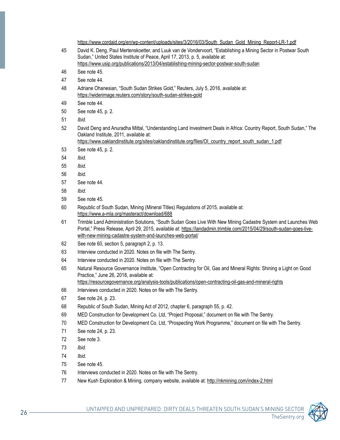https://www.cordaid.org/en/wp-content/uploads/sites/3/2016/03/South Sudan Gold Mining Report-LR-1.pdf 45 David K. Deng, Paul Mertenskoetter, and Luuk van de Vondervoort, "Establishing a Mining Sector in Postwar South

- Sudan," United States Institute of Peace, April 17, 2013, p. 5, available at: https://www.usip.org/publications/2013/04/establishing-mining-sector-postwar-south-sudan
- 46. See note 45.
- 47 See note 44.
- 48 Adriane Ohanesian, "South Sudan Strikes Gold," Reuters, July 5, 2016, available at: https://widerimage.reuters.com/story/south-sudan-strikes-gold
- 49 See note 44.
- 50 See note 45, p. 2.
- 51 *Ibid.*
- 52 David Deng and Anuradha Mittal, "Understanding Land Investment Deals in Africa: Country Report, South Sudan," The Oakland Institute, 2011, available at: https://www.oaklandinstitute.org/sites/oaklandinstitute.org/files/OI country report\_south\_sudan\_1.pdf
- 53 See note 45, p. 2.
- *.Ibid* 54
- *.Ibid* 55
- *.Ibid* 56
- 57 See note 44.
- *.Ibid* 58
- 59 See note 45.
- 60 Republic of South Sudan, Mining (Mineral Titles) Regulations of 2015, available at: https://www.a-mla.org/masteract/download/688
- 61 Trimble Land Administration Solutions, "South Sudan Goes Live With New Mining Cadastre System and Launches Web Portal," Press Release, April 29, 2015, available at: <u>https://landadmin.trimble.com/2015/04/29/south-sudan-goes-live-</u><br>with-new-mining-cadastre-system-and-launches-web-portal/
- 62 See note 60, section 5, paragraph 2, p. 13.
- 63 Interview conducted in 2020. Notes on file with The Sentry.
- 64 Interview conducted in 2020. Notes on file with The Sentry.
- 65 Natural Resource Governance Institute, "Open Contracting for Oil, Gas and Mineral Rights: Shining a Light on Good Practice," June 26, 2018, available at:

https://resourcegovernance.org/analysis-tools/publications/open-contracting-oil-gas-and-mineral-rights

- 66 Interviews conducted in 2020. Notes on file with The Sentry.
- 67 See note 24, p. 23.
- 68 Republic of South Sudan, Mining Act of 2012, chapter 6, paragraph 55, p. 42.
- 69 MED Construction for Development Co. Ltd, "Project Proposal," document on file with The Sentry.
- 70 MED Construction for Development Co. Ltd, "Prospecting Work Programme," document on file with The Sentry.
- 71 See note 24, p. 23.
- 72 See note 3
- *.Ibid* 73
- *.Ibid* 74
- 75 See note 45.
- 76 Interviews conducted in 2020. Notes on file with The Sentry.
- 77 New Kush Exploration & Mining, company website, available at: http://nkmining.com/index-2.html

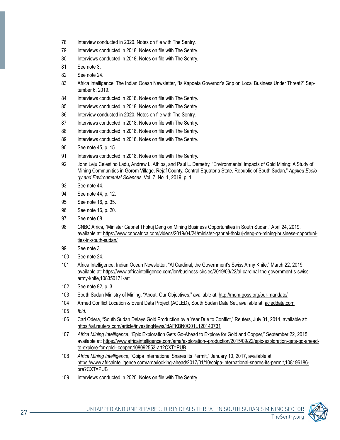- 78 Interview conducted in 2020. Notes on file with The Sentry.
- 79 Interviews conducted in 2018. Notes on file with The Sentry.
- 80 Interviews conducted in 2018. Notes on file with The Sentry.
- 81 See note 3.
- 82 See note 24.
- 83 Africa Intelligence: The Indian Ocean Newsletter, "Is Kapoeta Governor's Grip on Local Business Under Threat?" Sep-<br>tember 6, 2019.
- 84 Interviews conducted in 2018. Notes on file with The Sentry.
- 85 Interviews conducted in 2018. Notes on file with The Sentry.
- 86 Interview conducted in 2020. Notes on file with The Sentry.
- 87 Interviews conducted in 2018. Notes on file with The Sentry.
- 88 Interviews conducted in 2018. Notes on file with The Sentry.
- 89 Interviews conducted in 2018. Notes on file with The Sentry.
- 90 See note 45, p. 15.
- 91 Interviews conducted in 2018. Notes on file with The Sentry.
- 92 John Leju Celestino Ladu, Andrew L. Athiba, and Paul L. Demetry, "Environmental Impacts of Gold Mining: A Study of Mining Communities in Gorom Village, Rejaf County, Central Equatoria State, Republic of South Sudan," *Applied Ecolo-*<br>*gy and Environmental Sciences*, Vol. 7, No. 1, 2019, p. 1.
- 93 See note 44.
- 94 See note 44, p. 12.
- 95 See note 16, p. 35.
- 96 See note 16, p. 20.
- 97 See note 68.
- 2019, 24, 2019, 24, 2019, 24, 2019, 2019, 24, 2019, 2016 rinning Business Opportunities in South Sudan," April 24 available at: <u>https://www.cnbcafrica.com/videos/2019/04/24/minister-gabriel-thokuj-deng-on-mining-business-opportuni-</u><br><u>ties-in-south-sudan/</u>
- 99 See note 3.
- 100 See note 24.
- 101 Africa Intelligence: Indian Ocean Newsletter, "Al Cardinal, the Government's Swiss Army Knife," March 22, 2019, available at: <u>https://www.africaintelligence.com/ion/business-circles/2019/03/22/al-cardinal-the-government-s-swiss-</u><br><u>army-knife,108350171-art</u>
- 102 See note 92, p. 3.
- 103 South Sudan Ministry of Mining, "About: Our Objectives," available at: http://mom-goss.org/our-mandate/
- 104 Armed Conflict Location & Event Data Project (ACLED), South Sudan Data Set, available at: acleddata.com
- 105 *lbid.*
- 106 Carl Odera, "South Sudan Delays Gold Production by a Year Due to Conflict," Reuters, July 31, 2014, available at: https://af.reuters.com/article/investingNews/idAFKBN0G01L120140731
- 107 Africa Mining Intelligence, "Epic Exploration Gets Go-Ahead to Explore for Gold and Copper," September 22, 2015, available at: <u>https://www.africaintelligence.com/ama/exploration--production/2015/09/22/epic-exploration-gets-go-ahead-</u><br><u>to-explore-for-gold--copper,108092553-art?CXT=PUB</u>
- 108 Africa Mining Intelligence, "Coipa International Snares Its Permit," January 10, 2017, available at: https://www.africaintelligence.com/ama/looking-ahead/2017/01/10/coipa-international-snares-its-permit,108196186bre?CXT=PUB
- 109 Interviews conducted in 2020. Notes on file with The Sentry.

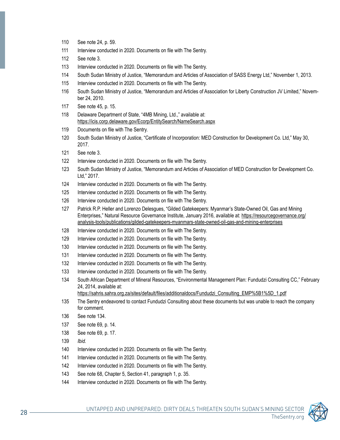- 110 See note 24, p. 59.
- 111 Interview conducted in 2020. Documents on file with The Sentry.
- 112 See note 3.
- 113 Interview conducted in 2020. Documents on file with The Sentry.
- 114 South Sudan Ministry of Justice, "Memorandum and Articles of Association of SASS Energy Ltd," November 1, 2013.
- 115 Interview conducted in 2020. Documents on file with The Sentry.
- 116 South Sudan Ministry of Justice, "Memorandum and Articles of Association for Liberty Construction JV Limited," Novem-<br>ber 24, 2010.
- 117 See note 45, p. 15.
- 118 Delaware Department of State, "4MB Mining, Ltd.," available at: https://icis.corp.delaware.gov/Ecorp/EntitySearch/NameSearch.aspx
- 119 Documents on file with The Sentry.
- 120 South Sudan Ministry of Justice, "Certificate of Incorporation: MED Construction for Development Co. Ltd," May 30, 2017.
- 121 See note 3.
- 122 Interview conducted in 2020. Documents on file with The Sentry.
- 123 South Sudan Ministry of Justice, "Memorandum and Articles of Association of MED Construction for Development Co. Ltd." 2017.
- 124 Interview conducted in 2020. Documents on file with The Sentry.
- 125 Interview conducted in 2020. Documents on file with The Sentry.
- 126 Interview conducted in 2020. Documents on file with The Sentry.
- 127 Patrick R.P. Heller and Lorenzo Delesgues, "Gilded Gatekeepers: Myanmar's State-Owned Oil, Gas and Mining Enterprises," Natural Resource Governance Institute, January 2016, available at: https://resourcegovernance.org/ analysis-tools/publications/gilded-gatekeepers-myanmars-state-owned-oil-gas-and-mining-enterprises
- 128 Interview conducted in 2020. Documents on file with The Sentry.
- 129 Interview conducted in 2020. Documents on file with The Sentry.
- 130 Interview conducted in 2020. Documents on file with The Sentry.
- 131 Interview conducted in 2020. Documents on file with The Sentry.
- 132 Interview conducted in 2020. Documents on file with The Sentry.
- 133 Interview conducted in 2020. Documents on file with The Sentry.
- 134 South African Department of Mineral Resources, "Environmental Management Plan: Fundudzi Consulting CC," February 24, 2014, available at:

https://sahris.sahra.org.za/sites/default/files/additionaldocs/Fundudzi Consulting EMP%5B1%5D 1.pdf

- 135 The Sentry endeavored to contact Fundudzi Consulting about these documents but was unable to reach the company for comment.
- 136 See note 134.
- 137 See note 69, p. 14.
- 138 See note 69, p. 17.
- 139 *Ibid.*
- 140 Interview conducted in 2020. Documents on file with The Sentry.
- 141 Interview conducted in 2020. Documents on file with The Sentry.
- 142 Interview conducted in 2020. Documents on file with The Sentry.
- 143 See note 68, Chapter 5, Section 41, paragraph 1, p. 35.
- 144 Interview conducted in 2020. Documents on file with The Sentry.

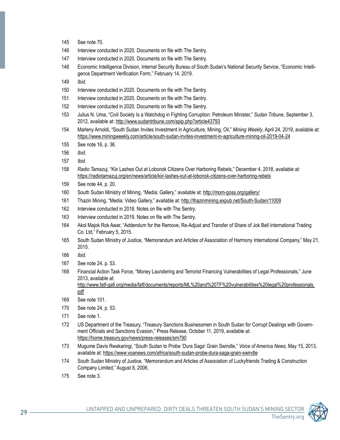- 145 See note 70.
- 146 Interview conducted in 2020. Documents on file with The Sentry.
- 147 Interview conducted in 2020. Documents on file with The Sentry.
- -148 Economic Intelligence Division, Internal Security Bureau of South Sudan's National Security Service, "Economic Intelli-<br>gence Department Verification Form," February 14, 2019.
- 149 *Ibid.*
- 150 Interview conducted in 2020. Documents on file with The Sentry.
- 151 Interview conducted in 2020. Documents on file with The Sentry.
- 152 Interview conducted in 2020. Documents on file with The Sentry.
- 153 Julius N. Uma, "Civil Society Is a Watchdog in Fighting Corruption: Petroleum Minister," Sudan Tribune, September 3, 2012, available at: http://www.sudantribune.com/spip.php?article43793
- 154 Marleny Arnoldi, "South Sudan Invites Investment in Agriculture, Mining, Oil," Mining Weekly, April 24, 2019, available at: https://www.miningweekly.com/article/south-sudan-invites-investment-in-agriculture-mining-oil-2019-04-24
- 155 See note 16, p. 36.
- 156 *Ibid.*
- 157 *Ibid.*
- 158 Radio Tamazuj, "Kiir Lashes Out at Lobonok Citizens Over Harboring Rebels," December 4, 2018, available at: https://radiotamazuj.org/en/news/article/kiir-lashes-out-at-lobonok-citizens-over-harboring-rebels
- 159 See note 44, p. 20.
- 160 South Sudan Ministry of Mining, "Media: Gallery," available at: http://mom-goss.org/gallery/
- 161 Thazin Mining, "Media: Video Gallery," available at: http://thazinmining.expub.net/South-Sudan/11009
- 162 Interview conducted in 2018. Notes on file with The Sentry.
- 163 Interview conducted in 2019. Notes on file with The Sentry.
- 164 Akol Majok Rok Awar, "Addendum for the Remove, Re-Adjust and Transfer of Share of Jok Bell International Trading Co. Ltd," February 5, 2015.
- 165 South Sudan Ministry of Justice, "Memorandum and Articles of Association of Harmony International Company," May 21, 2015.
- *.Ibid* 166
- 167 See note 24, p. 53.
- 168 Financial Action Task Force, "Money Laundering and Terrorist Financing Vulnerabilities of Legal Professionals," June 2013, available at: http://www.fatf-qafi.org/media/fatf/documents/reports/ML%20and%20TF%20vulnerabilities%20legal%20professionals. [pdf](http://www.fatf-gafi.org/media/fatf/documents/reports/ML%20and%20TF%20vulnerabilities%20legal%20professionals.pdf)
- 169 See note 101.
- 170 See note 24, p. 53.
- 171 See note 1.
- 172 US Department of the Treasury, "Treasury Sanctions Businessmen in South Sudan for Corrupt Dealings with Govern-<br>ment Officials and Sanctions Evasion," Press Release, October 11, 2019, available at: https://home.treasury.gov/news/press-releases/sm790
- 173 Mugume Davis Rwakaringi, "South Sudan to Probe 'Dura Saga' Grain Swindle," Voice of America News, May 15, 2013, available at: https://www.voanews.com/africa/south-sudan-probe-dura-saga-grain-swindle
- 174 South Sudan Ministry of Justice, "Memorandum and Articles of Association of Luckyfriends Trading & Construction Company Limited," August 8, 2006.
- $175$  See note 3.